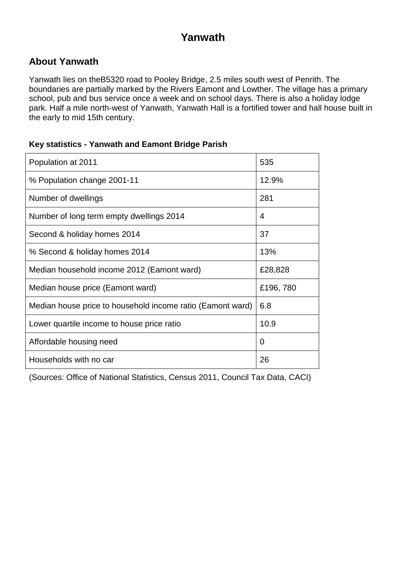### **Yanwath**

#### **About Yanwath**

Yanwath lies on theB5320 road to Pooley Bridge, 2.5 miles south west of Penrith. The boundaries are partially marked by the Rivers Eamont and Lowther. The village has a primary school, pub and bus service once a week and on school days. There is also a holiday lodge park. Half a mile north-west of Yanwath, Yanwath Hall is a fortified tower and hall house built in the early to mid 15th century.

#### **Key statistics - Yanwath and Eamont Bridge Parish**

| Population at 2011                                         | 535      |
|------------------------------------------------------------|----------|
| % Population change 2001-11                                | 12.9%    |
| Number of dwellings                                        | 281      |
| Number of long term empty dwellings 2014                   | 4        |
| Second & holiday homes 2014                                | 37       |
| % Second & holiday homes 2014                              | 13%      |
| Median household income 2012 (Eamont ward)                 | £28,828  |
| Median house price (Eamont ward)                           | £196,780 |
| Median house price to household income ratio (Eamont ward) | 6.8      |
| Lower quartile income to house price ratio                 | 10.9     |
| Affordable housing need                                    | 0        |
| Households with no car                                     | 26       |

(Sources: Office of National Statistics, Census 2011, Council Tax Data, CACI)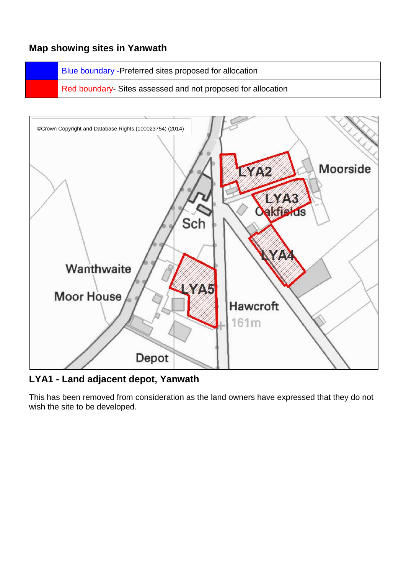#### **Map showing sites in Yanwath**

Blue boundary -Preferred sites proposed for allocation

Red boundary- Sites assessed and not proposed for allocation



**LYA1 - Land adjacent depot, Yanwath**

This has been removed from consideration as the land owners have expressed that they do not wish the site to be developed.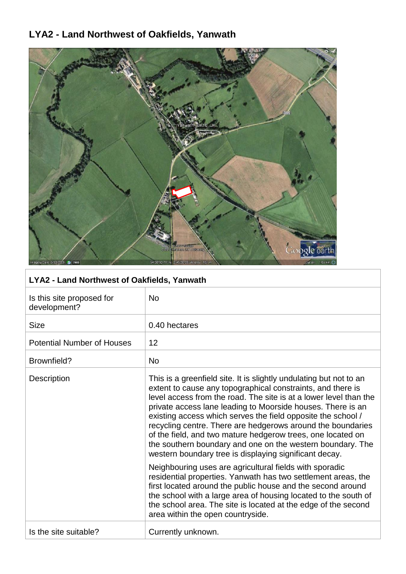# **LYA2 - Land Northwest of Oakfields, Yanwath**



| LYA2 - Land Northwest of Oakfields, Yanwath |                                                                                                                                                                                                                                                                                                                                                                                                                                                                                                                                                                                             |
|---------------------------------------------|---------------------------------------------------------------------------------------------------------------------------------------------------------------------------------------------------------------------------------------------------------------------------------------------------------------------------------------------------------------------------------------------------------------------------------------------------------------------------------------------------------------------------------------------------------------------------------------------|
| Is this site proposed for<br>development?   | <b>No</b>                                                                                                                                                                                                                                                                                                                                                                                                                                                                                                                                                                                   |
| <b>Size</b>                                 | 0.40 hectares                                                                                                                                                                                                                                                                                                                                                                                                                                                                                                                                                                               |
| <b>Potential Number of Houses</b>           | 12                                                                                                                                                                                                                                                                                                                                                                                                                                                                                                                                                                                          |
| Brownfield?                                 | <b>No</b>                                                                                                                                                                                                                                                                                                                                                                                                                                                                                                                                                                                   |
| Description                                 | This is a greenfield site. It is slightly undulating but not to an<br>extent to cause any topographical constraints, and there is<br>level access from the road. The site is at a lower level than the<br>private access lane leading to Moorside houses. There is an<br>existing access which serves the field opposite the school /<br>recycling centre. There are hedgerows around the boundaries<br>of the field, and two mature hedgerow trees, one located on<br>the southern boundary and one on the western boundary. The<br>western boundary tree is displaying significant decay. |
|                                             | Neighbouring uses are agricultural fields with sporadic<br>residential properties. Yanwath has two settlement areas, the<br>first located around the public house and the second around<br>the school with a large area of housing located to the south of<br>the school area. The site is located at the edge of the second<br>area within the open countryside.                                                                                                                                                                                                                           |
| Is the site suitable?                       | Currently unknown.                                                                                                                                                                                                                                                                                                                                                                                                                                                                                                                                                                          |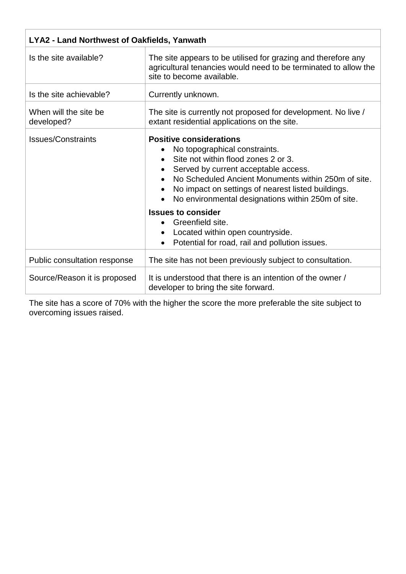| <b>LYA2 - Land Northwest of Oakfields, Yanwath</b> |                                                                                                                                                                                                                                                                                                                                                                                                                                                          |
|----------------------------------------------------|----------------------------------------------------------------------------------------------------------------------------------------------------------------------------------------------------------------------------------------------------------------------------------------------------------------------------------------------------------------------------------------------------------------------------------------------------------|
| Is the site available?                             | The site appears to be utilised for grazing and therefore any<br>agricultural tenancies would need to be terminated to allow the<br>site to become available.                                                                                                                                                                                                                                                                                            |
| Is the site achievable?                            | Currently unknown.                                                                                                                                                                                                                                                                                                                                                                                                                                       |
| When will the site be<br>developed?                | The site is currently not proposed for development. No live /<br>extant residential applications on the site.                                                                                                                                                                                                                                                                                                                                            |
| <b>Issues/Constraints</b>                          | <b>Positive considerations</b><br>No topographical constraints.<br>Site not within flood zones 2 or 3.<br>Served by current acceptable access.<br>No Scheduled Ancient Monuments within 250m of site.<br>No impact on settings of nearest listed buildings.<br>No environmental designations within 250m of site.<br><b>Issues to consider</b><br>Greenfield site.<br>Located within open countryside.<br>Potential for road, rail and pollution issues. |
| Public consultation response                       | The site has not been previously subject to consultation.                                                                                                                                                                                                                                                                                                                                                                                                |
| Source/Reason it is proposed                       | It is understood that there is an intention of the owner /<br>developer to bring the site forward.                                                                                                                                                                                                                                                                                                                                                       |

The site has a score of 70% with the higher the score the more preferable the site subject to overcoming issues raised.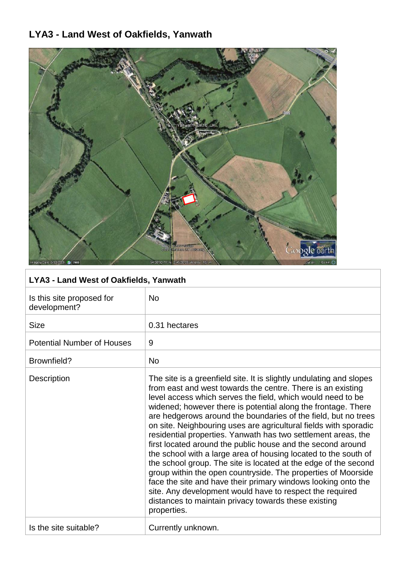# **LYA3 - Land West of Oakfields, Yanwath**



### **LYA3 - Land West of Oakfields, Yanwath**

| Is this site proposed for<br>development? | <b>No</b>                                                                                                                                                                                                                                                                                                                                                                                                                                                                                                                                                                                                                                                                                                                                                                                                                                                                                                                                           |
|-------------------------------------------|-----------------------------------------------------------------------------------------------------------------------------------------------------------------------------------------------------------------------------------------------------------------------------------------------------------------------------------------------------------------------------------------------------------------------------------------------------------------------------------------------------------------------------------------------------------------------------------------------------------------------------------------------------------------------------------------------------------------------------------------------------------------------------------------------------------------------------------------------------------------------------------------------------------------------------------------------------|
| <b>Size</b>                               | 0.31 hectares                                                                                                                                                                                                                                                                                                                                                                                                                                                                                                                                                                                                                                                                                                                                                                                                                                                                                                                                       |
| <b>Potential Number of Houses</b>         | 9                                                                                                                                                                                                                                                                                                                                                                                                                                                                                                                                                                                                                                                                                                                                                                                                                                                                                                                                                   |
| Brownfield?                               | <b>No</b>                                                                                                                                                                                                                                                                                                                                                                                                                                                                                                                                                                                                                                                                                                                                                                                                                                                                                                                                           |
| <b>Description</b>                        | The site is a greenfield site. It is slightly undulating and slopes<br>from east and west towards the centre. There is an existing<br>level access which serves the field, which would need to be<br>widened; however there is potential along the frontage. There<br>are hedgerows around the boundaries of the field, but no trees<br>on site. Neighbouring uses are agricultural fields with sporadic<br>residential properties. Yanwath has two settlement areas, the<br>first located around the public house and the second around<br>the school with a large area of housing located to the south of<br>the school group. The site is located at the edge of the second<br>group within the open countryside. The properties of Moorside<br>face the site and have their primary windows looking onto the<br>site. Any development would have to respect the required<br>distances to maintain privacy towards these existing<br>properties. |
| Is the site suitable?                     | Currently unknown.                                                                                                                                                                                                                                                                                                                                                                                                                                                                                                                                                                                                                                                                                                                                                                                                                                                                                                                                  |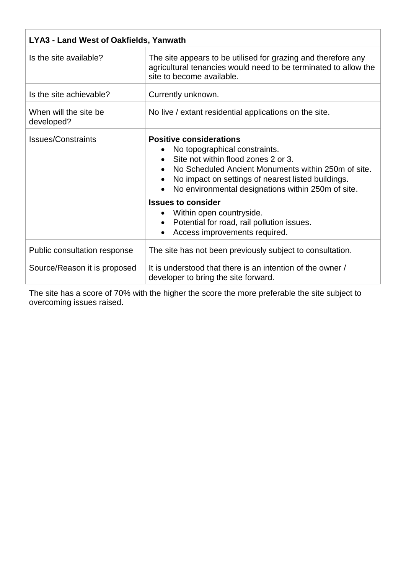| <b>LYA3 - Land West of Oakfields, Yanwath</b> |                                                                                                                                                                                                                                                                           |
|-----------------------------------------------|---------------------------------------------------------------------------------------------------------------------------------------------------------------------------------------------------------------------------------------------------------------------------|
| Is the site available?                        | The site appears to be utilised for grazing and therefore any<br>agricultural tenancies would need to be terminated to allow the<br>site to become available.                                                                                                             |
| Is the site achievable?                       | Currently unknown.                                                                                                                                                                                                                                                        |
| When will the site be<br>developed?           | No live / extant residential applications on the site.                                                                                                                                                                                                                    |
| <b>Issues/Constraints</b>                     | <b>Positive considerations</b><br>No topographical constraints.<br>Site not within flood zones 2 or 3.<br>No Scheduled Ancient Monuments within 250m of site.<br>No impact on settings of nearest listed buildings.<br>No environmental designations within 250m of site. |
|                                               | <b>Issues to consider</b><br>Within open countryside.<br>Potential for road, rail pollution issues.<br>$\bullet$<br>Access improvements required.                                                                                                                         |
| Public consultation response                  | The site has not been previously subject to consultation.                                                                                                                                                                                                                 |
| Source/Reason it is proposed                  | It is understood that there is an intention of the owner /<br>developer to bring the site forward.                                                                                                                                                                        |

The site has a score of 70% with the higher the score the more preferable the site subject to overcoming issues raised.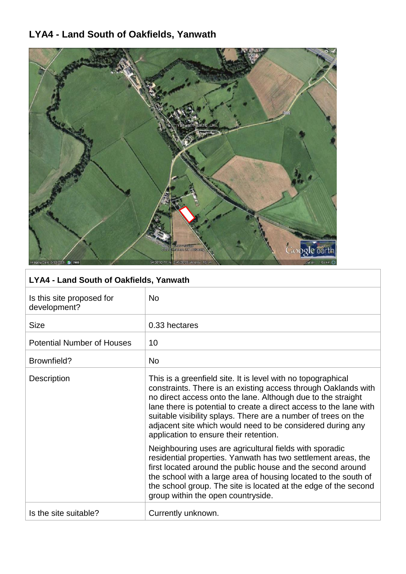### **LYA4 - Land South of Oakfields, Yanwath**



### **LYA4 - Land South of Oakfields, Yanwath**

| Is this site proposed for<br>development? | <b>No</b>                                                                                                                                                                                                                                                                                                                                                                                                                                      |
|-------------------------------------------|------------------------------------------------------------------------------------------------------------------------------------------------------------------------------------------------------------------------------------------------------------------------------------------------------------------------------------------------------------------------------------------------------------------------------------------------|
| <b>Size</b>                               | 0.33 hectares                                                                                                                                                                                                                                                                                                                                                                                                                                  |
| <b>Potential Number of Houses</b>         | 10                                                                                                                                                                                                                                                                                                                                                                                                                                             |
| Brownfield?                               | <b>No</b>                                                                                                                                                                                                                                                                                                                                                                                                                                      |
| Description                               | This is a greenfield site. It is level with no topographical<br>constraints. There is an existing access through Oaklands with<br>no direct access onto the lane. Although due to the straight<br>lane there is potential to create a direct access to the lane with<br>suitable visibility splays. There are a number of trees on the<br>adjacent site which would need to be considered during any<br>application to ensure their retention. |
|                                           | Neighbouring uses are agricultural fields with sporadic<br>residential properties. Yanwath has two settlement areas, the<br>first located around the public house and the second around<br>the school with a large area of housing located to the south of<br>the school group. The site is located at the edge of the second<br>group within the open countryside.                                                                            |
| Is the site suitable?                     | Currently unknown.                                                                                                                                                                                                                                                                                                                                                                                                                             |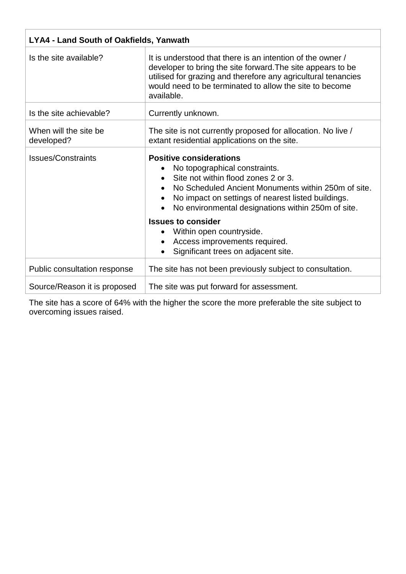| <b>LYA4 - Land South of Oakfields, Yanwath</b> |                                                                                                                                                                                                                                                                           |
|------------------------------------------------|---------------------------------------------------------------------------------------------------------------------------------------------------------------------------------------------------------------------------------------------------------------------------|
| Is the site available?                         | It is understood that there is an intention of the owner /<br>developer to bring the site forward. The site appears to be<br>utilised for grazing and therefore any agricultural tenancies<br>would need to be terminated to allow the site to become<br>available.       |
| Is the site achievable?                        | Currently unknown.                                                                                                                                                                                                                                                        |
| When will the site be<br>developed?            | The site is not currently proposed for allocation. No live /<br>extant residential applications on the site.                                                                                                                                                              |
| <b>Issues/Constraints</b>                      | <b>Positive considerations</b><br>No topographical constraints.<br>Site not within flood zones 2 or 3.<br>No Scheduled Ancient Monuments within 250m of site.<br>No impact on settings of nearest listed buildings.<br>No environmental designations within 250m of site. |
|                                                | <b>Issues to consider</b><br>Within open countryside.<br>Access improvements required.<br>Significant trees on adjacent site.                                                                                                                                             |
| Public consultation response                   | The site has not been previously subject to consultation.                                                                                                                                                                                                                 |
| Source/Reason it is proposed                   | The site was put forward for assessment.                                                                                                                                                                                                                                  |

The site has a score of 64% with the higher the score the more preferable the site subject to overcoming issues raised.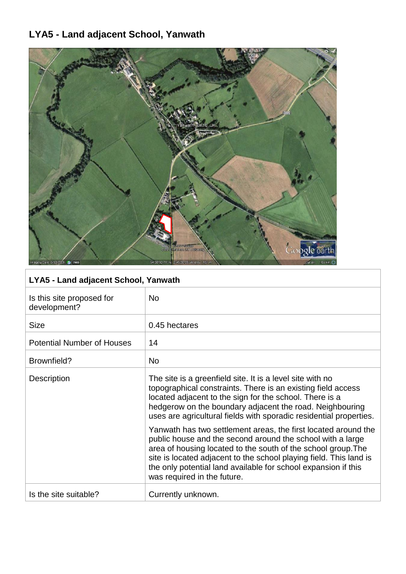# **LYA5 - Land adjacent School, Yanwath**



| LYA5 - Land adjacent School, Yanwath      |                                                                                                                                                                                                                                                                                                                                                                      |
|-------------------------------------------|----------------------------------------------------------------------------------------------------------------------------------------------------------------------------------------------------------------------------------------------------------------------------------------------------------------------------------------------------------------------|
| Is this site proposed for<br>development? | <b>No</b>                                                                                                                                                                                                                                                                                                                                                            |
| <b>Size</b>                               | 0.45 hectares                                                                                                                                                                                                                                                                                                                                                        |
| <b>Potential Number of Houses</b>         | 14                                                                                                                                                                                                                                                                                                                                                                   |
| Brownfield?                               | <b>No</b>                                                                                                                                                                                                                                                                                                                                                            |
| <b>Description</b>                        | The site is a greenfield site. It is a level site with no<br>topographical constraints. There is an existing field access<br>located adjacent to the sign for the school. There is a<br>hedgerow on the boundary adjacent the road. Neighbouring<br>uses are agricultural fields with sporadic residential properties.                                               |
|                                           | Yanwath has two settlement areas, the first located around the<br>public house and the second around the school with a large<br>area of housing located to the south of the school group. The<br>site is located adjacent to the school playing field. This land is<br>the only potential land available for school expansion if this<br>was required in the future. |
| Is the site suitable?                     | Currently unknown.                                                                                                                                                                                                                                                                                                                                                   |